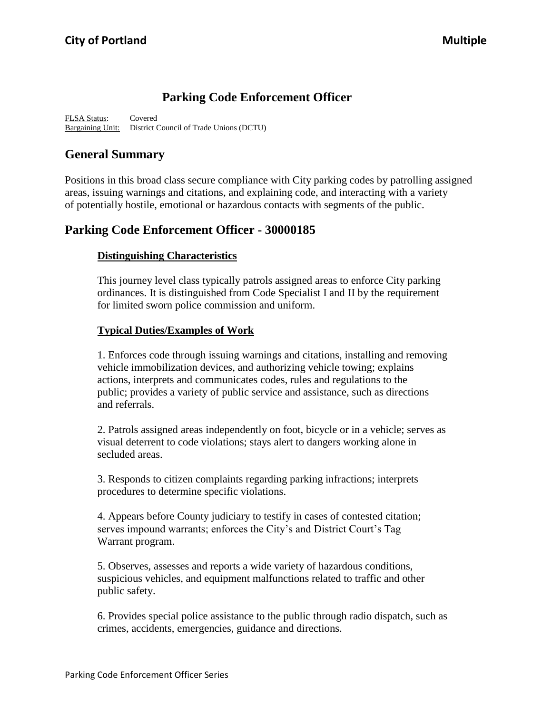# **Parking Code Enforcement Officer**

FLSA Status: Covered Bargaining Unit: District Council of Trade Unions (DCTU)

# **General Summary**

Positions in this broad class secure compliance with City parking codes by patrolling assigned areas, issuing warnings and citations, and explaining code, and interacting with a variety of potentially hostile, emotional or hazardous contacts with segments of the public.

## **Parking Code Enforcement Officer - 30000185**

### **Distinguishing Characteristics**

This journey level class typically patrols assigned areas to enforce City parking ordinances. It is distinguished from Code Specialist I and II by the requirement for limited sworn police commission and uniform.

### **Typical Duties/Examples of Work**

1. Enforces code through issuing warnings and citations, installing and removing vehicle immobilization devices, and authorizing vehicle towing; explains actions, interprets and communicates codes, rules and regulations to the public; provides a variety of public service and assistance, such as directions and referrals.

2. Patrols assigned areas independently on foot, bicycle or in a vehicle; serves as visual deterrent to code violations; stays alert to dangers working alone in secluded areas.

3. Responds to citizen complaints regarding parking infractions; interprets procedures to determine specific violations.

4. Appears before County judiciary to testify in cases of contested citation; serves impound warrants; enforces the City's and District Court's Tag Warrant program.

5. Observes, assesses and reports a wide variety of hazardous conditions, suspicious vehicles, and equipment malfunctions related to traffic and other public safety.

6. Provides special police assistance to the public through radio dispatch, such as crimes, accidents, emergencies, guidance and directions.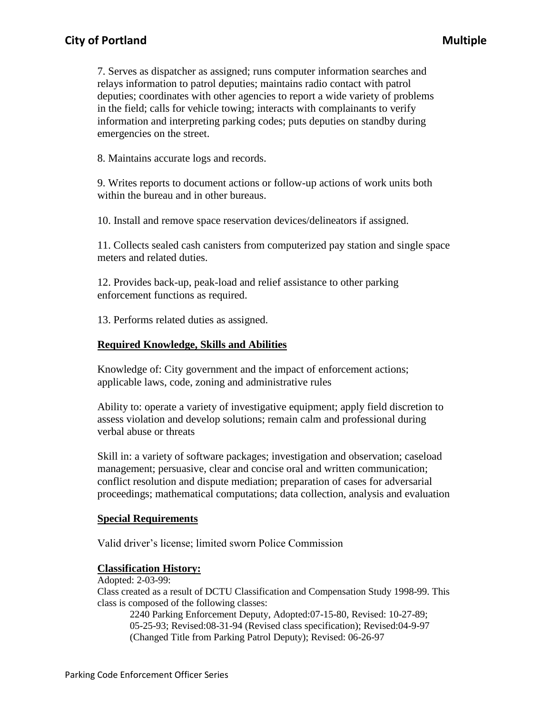## **City of Portland Multiple**

7. Serves as dispatcher as assigned; runs computer information searches and relays information to patrol deputies; maintains radio contact with patrol deputies; coordinates with other agencies to report a wide variety of problems in the field; calls for vehicle towing; interacts with complainants to verify information and interpreting parking codes; puts deputies on standby during emergencies on the street.

8. Maintains accurate logs and records.

9. Writes reports to document actions or follow-up actions of work units both within the bureau and in other bureaus.

10. Install and remove space reservation devices/delineators if assigned.

11. Collects sealed cash canisters from computerized pay station and single space meters and related duties.

12. Provides back-up, peak-load and relief assistance to other parking enforcement functions as required.

13. Performs related duties as assigned.

#### **Required Knowledge, Skills and Abilities**

Knowledge of: City government and the impact of enforcement actions; applicable laws, code, zoning and administrative rules

Ability to: operate a variety of investigative equipment; apply field discretion to assess violation and develop solutions; remain calm and professional during verbal abuse or threats

Skill in: a variety of software packages; investigation and observation; caseload management; persuasive, clear and concise oral and written communication; conflict resolution and dispute mediation; preparation of cases for adversarial proceedings; mathematical computations; data collection, analysis and evaluation

#### **Special Requirements**

Valid driver's license; limited sworn Police Commission

#### **Classification History:**

Adopted: 2-03-99:

Class created as a result of DCTU Classification and Compensation Study 1998-99. This class is composed of the following classes:

2240 Parking Enforcement Deputy, Adopted:07-15-80, Revised: 10-27-89; 05-25-93; Revised:08-31-94 (Revised class specification); Revised:04-9-97 (Changed Title from Parking Patrol Deputy); Revised: 06-26-97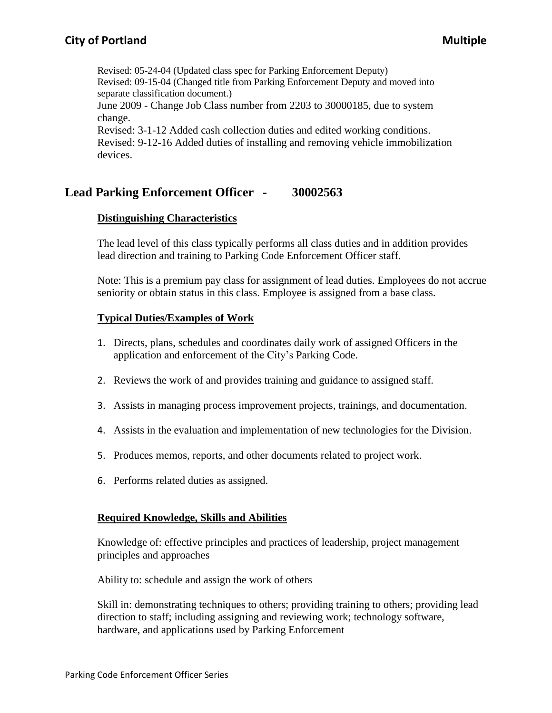Revised: 05-24-04 (Updated class spec for Parking Enforcement Deputy) Revised: 09-15-04 (Changed title from Parking Enforcement Deputy and moved into separate classification document.)

June 2009 - Change Job Class number from 2203 to 30000185, due to system change.

Revised: 3-1-12 Added cash collection duties and edited working conditions. Revised: 9-12-16 Added duties of installing and removing vehicle immobilization devices.

# **Lead Parking Enforcement Officer - 30002563**

## **Distinguishing Characteristics**

The lead level of this class typically performs all class duties and in addition provides lead direction and training to Parking Code Enforcement Officer staff.

Note: This is a premium pay class for assignment of lead duties. Employees do not accrue seniority or obtain status in this class. Employee is assigned from a base class.

## **Typical Duties/Examples of Work**

- 1. Directs, plans, schedules and coordinates daily work of assigned Officers in the application and enforcement of the City's Parking Code.
- 2. Reviews the work of and provides training and guidance to assigned staff.
- 3. Assists in managing process improvement projects, trainings, and documentation.
- 4. Assists in the evaluation and implementation of new technologies for the Division.
- 5. Produces memos, reports, and other documents related to project work.
- 6. Performs related duties as assigned.

## **Required Knowledge, Skills and Abilities**

Knowledge of: effective principles and practices of leadership, project management principles and approaches

Ability to: schedule and assign the work of others

Skill in: demonstrating techniques to others; providing training to others; providing lead direction to staff; including assigning and reviewing work; technology software, hardware, and applications used by Parking Enforcement